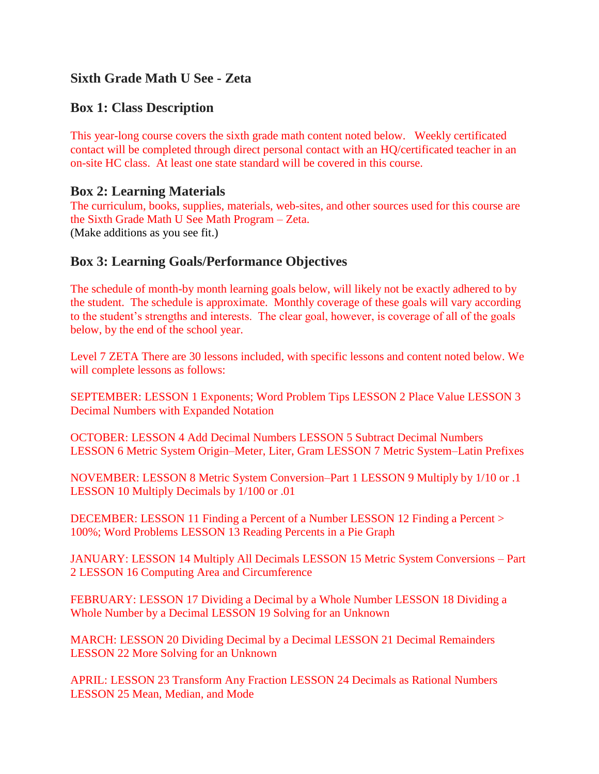# **Sixth Grade Math U See - Zeta**

## **Box 1: Class Description**

This year-long course covers the sixth grade math content noted below. Weekly certificated contact will be completed through direct personal contact with an HQ/certificated teacher in an on-site HC class. At least one state standard will be covered in this course.

### **Box 2: Learning Materials**

The curriculum, books, supplies, materials, web-sites, and other sources used for this course are the Sixth Grade Math U See Math Program – Zeta. (Make additions as you see fit.)

### **Box 3: Learning Goals/Performance Objectives**

The schedule of month-by month learning goals below, will likely not be exactly adhered to by the student. The schedule is approximate. Monthly coverage of these goals will vary according to the student's strengths and interests. The clear goal, however, is coverage of all of the goals below, by the end of the school year.

Level 7 ZETA There are 30 lessons included, with specific lessons and content noted below. We will complete lessons as follows:

SEPTEMBER: LESSON 1 Exponents; Word Problem Tips LESSON 2 Place Value LESSON 3 Decimal Numbers with Expanded Notation

OCTOBER: LESSON 4 Add Decimal Numbers LESSON 5 Subtract Decimal Numbers LESSON 6 Metric System Origin–Meter, Liter, Gram LESSON 7 Metric System–Latin Prefixes

NOVEMBER: LESSON 8 Metric System Conversion–Part 1 LESSON 9 Multiply by 1/10 or .1 LESSON 10 Multiply Decimals by 1/100 or .01

DECEMBER: LESSON 11 Finding a Percent of a Number LESSON 12 Finding a Percent > 100%; Word Problems LESSON 13 Reading Percents in a Pie Graph

JANUARY: LESSON 14 Multiply All Decimals LESSON 15 Metric System Conversions – Part 2 LESSON 16 Computing Area and Circumference

FEBRUARY: LESSON 17 Dividing a Decimal by a Whole Number LESSON 18 Dividing a Whole Number by a Decimal LESSON 19 Solving for an Unknown

MARCH: LESSON 20 Dividing Decimal by a Decimal LESSON 21 Decimal Remainders LESSON 22 More Solving for an Unknown

APRIL: LESSON 23 Transform Any Fraction LESSON 24 Decimals as Rational Numbers LESSON 25 Mean, Median, and Mode